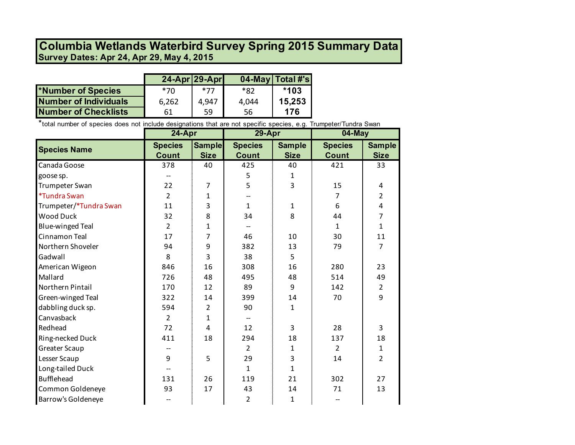## **Survey Dates: Apr 24, Apr 29, May 4, 2015 Columbia Wetlands Waterbird Survey Spring 2015 Summary Data**

|                             | $24-Apr$ 29-Apr |       |       | 04-May   Total #'s |
|-----------------------------|-----------------|-------|-------|--------------------|
| *Number of Species          | 70*             | *77   | *82   | $*103$             |
| Number of Individuals       | 6,262           | 4.947 | 4.044 | 15,253             |
| <b>Number of Checklists</b> | 61              | 59    | 56    | 176                |

\*total number of species does not include designations that are not specific species, e.g. Trumpeter/Tundra Swan

|                            | 24-Apr         |                | 29-Apr         |               | 04-May         |                |
|----------------------------|----------------|----------------|----------------|---------------|----------------|----------------|
| <b>Species Name</b>        | <b>Species</b> | <b>Sample</b>  | <b>Species</b> | <b>Sample</b> | <b>Species</b> | <b>Sample</b>  |
|                            | <b>Count</b>   | <b>Size</b>    | <b>Count</b>   | <b>Size</b>   | <b>Count</b>   | <b>Size</b>    |
| Canada Goose               | 378            | 40             | 425            | 40            | 421            | 33             |
| goose sp.                  |                |                | 5              | 1             |                |                |
| Trumpeter Swan             | 22             | $\overline{7}$ | 5              | 3             | 15             | 4              |
| <i><b>*Tundra Swan</b></i> | $\overline{2}$ | $\mathbf{1}$   |                |               | 7              | $\overline{2}$ |
| Trumpeter/*Tundra Swan     | 11             | 3              | $\mathbf{1}$   | 1             | 6              | 4              |
| <b>Wood Duck</b>           | 32             | 8              | 34             | 8             | 44             | 7              |
| <b>Blue-winged Teal</b>    | $\overline{2}$ | 1              |                |               | $\mathbf{1}$   | 1              |
| Cinnamon Teal              | 17             | 7              | 46             | 10            | 30             | 11             |
| Northern Shoveler          | 94             | 9              | 382            | 13            | 79             | 7              |
| Gadwall                    | 8              | 3              | 38             | 5             |                |                |
| American Wigeon            | 846            | 16             | 308            | 16            | 280            | 23             |
| Mallard                    | 726            | 48             | 495            | 48            | 514            | 49             |
| Northern Pintail           | 170            | 12             | 89             | 9             | 142            | $\overline{2}$ |
| Green-winged Teal          | 322            | 14             | 399            | 14            | 70             | 9              |
| dabbling duck sp.          | 594            | $\overline{2}$ | 90             | $\mathbf{1}$  |                |                |
| Canvasback                 | $\overline{2}$ | $\mathbf{1}$   |                |               |                |                |
| Redhead                    | 72             | $\overline{4}$ | 12             | 3             | 28             | 3              |
| Ring-necked Duck           | 411            | 18             | 294            | 18            | 137            | 18             |
| <b>Greater Scaup</b>       |                |                | $\overline{2}$ | 1             | $\overline{2}$ | $\mathbf{1}$   |
| Lesser Scaup               | 9              | 5              | 29             | 3             | 14             | $\overline{2}$ |
| Long-tailed Duck           |                |                | $\mathbf{1}$   | $\mathbf{1}$  |                |                |
| <b>Bufflehead</b>          | 131            | 26             | 119            | 21            | 302            | 27             |
| Common Goldeneye           | 93             | 17             | 43             | 14            | 71             | 13             |
| Barrow's Goldeneye         |                |                | $\overline{2}$ | 1             |                |                |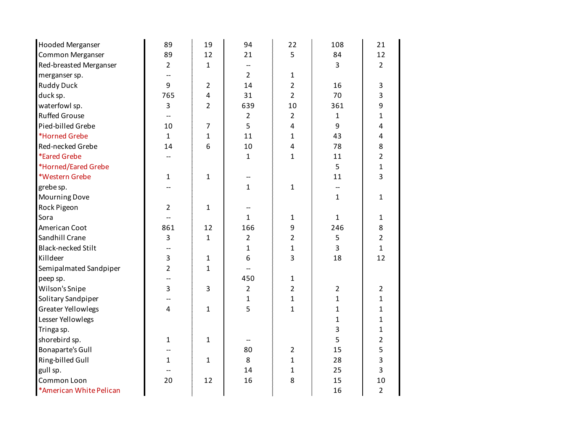| <b>Hooded Merganser</b>   | 89             | 19                      | 94             | 22             | 108            | 21             |
|---------------------------|----------------|-------------------------|----------------|----------------|----------------|----------------|
| Common Merganser          | 89             | 12                      | 21             | 5              | 84             | 12             |
| Red-breasted Merganser    | $\overline{2}$ | $\mathbf{1}$            |                |                | 3              | $\overline{2}$ |
| merganser sp.             |                |                         | $\overline{2}$ | $\mathbf{1}$   |                |                |
| <b>Ruddy Duck</b>         | 9              | $\overline{2}$          | 14             | $\overline{2}$ | 16             | 3              |
| duck sp.                  | 765            | $\overline{\mathbf{4}}$ | 31             | $\overline{2}$ | 70             | 3              |
| waterfowl sp.             | 3              | $\overline{2}$          | 639            | 10             | 361            | 9              |
| <b>Ruffed Grouse</b>      |                |                         | $\overline{2}$ | $\overline{2}$ | $\mathbf{1}$   | $\mathbf{1}$   |
| Pied-billed Grebe         | 10             | $\overline{7}$          | 5              | 4              | 9              | 4              |
| *Horned Grebe             | $\mathbf{1}$   | $\mathbf{1}$            | 11             | $\mathbf{1}$   | 43             | 4              |
| Red-necked Grebe          | 14             | 6                       | 10             | 4              | 78             | 8              |
| *Eared Grebe              |                |                         | $\mathbf 1$    | $\mathbf{1}$   | 11             | $\overline{2}$ |
| *Horned/Eared Grebe       |                |                         |                |                | 5              | $\mathbf{1}$   |
| *Western Grebe            | $\mathbf{1}$   | $\mathbf{1}$            | --             |                | 11             | 3              |
| grebe sp.                 |                |                         | $\mathbf 1$    | $\mathbf{1}$   |                |                |
| <b>Mourning Dove</b>      |                |                         |                |                | $\mathbf{1}$   | $\mathbf{1}$   |
| Rock Pigeon               | $\overline{2}$ | $\mathbf{1}$            |                |                |                |                |
| Sora                      |                |                         | $\mathbf 1$    | $\mathbf{1}$   | $\mathbf{1}$   | $\mathbf{1}$   |
| American Coot             | 861            | 12                      | 166            | 9              | 246            | 8              |
| Sandhill Crane            | 3              | $\mathbf 1$             | 2              | $\overline{2}$ | 5              | $\overline{2}$ |
| <b>Black-necked Stilt</b> |                |                         | $\mathbf 1$    | $\mathbf{1}$   | 3              | $\mathbf{1}$   |
| Killdeer                  | 3              | $\mathbf{1}$            | 6              | 3              | 18             | 12             |
| Semipalmated Sandpiper    | $\overline{2}$ | $\mathbf{1}$            |                |                |                |                |
| peep sp.                  |                |                         | 450            | $\mathbf{1}$   |                |                |
| Wilson's Snipe            | $\overline{3}$ | 3                       | $\overline{2}$ | $\overline{2}$ | $\overline{2}$ | $\overline{2}$ |
| Solitary Sandpiper        |                |                         | $\mathbf{1}$   | $\mathbf{1}$   | $\mathbf{1}$   | $\mathbf{1}$   |
| <b>Greater Yellowlegs</b> | 4              | $\mathbf{1}$            | 5              | $\mathbf{1}$   | 1              | $\mathbf{1}$   |
| Lesser Yellowlegs         |                |                         |                |                | 1              | $\mathbf{1}$   |
| Tringa sp.                |                |                         |                |                | 3              | $\mathbf{1}$   |
| shorebird sp.             | $\mathbf{1}$   | $\mathbf{1}$            |                |                | 5              | $\overline{2}$ |
| <b>Bonaparte's Gull</b>   |                |                         | 80             | $\overline{2}$ | 15             | 5              |
| Ring-billed Gull          | $\mathbf{1}$   | $\mathbf 1$             | 8              | $\mathbf{1}$   | 28             | 3              |
| gull sp.                  |                |                         | 14             | $\mathbf{1}$   | 25             | $\overline{3}$ |
| Common Loon               | 20             | 12                      | 16             | 8              | 15             | 10             |
| *American White Pelican   |                |                         |                |                | 16             | $\overline{2}$ |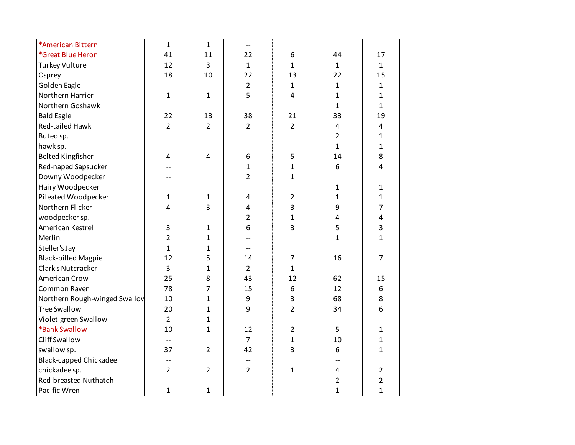| *American Bittern             | $\mathbf{1}$   | $\mathbf{1}$   |                          |                |                |                |
|-------------------------------|----------------|----------------|--------------------------|----------------|----------------|----------------|
| *Great Blue Heron             | 41             | 11             | 22                       | 6              | 44             | 17             |
| <b>Turkey Vulture</b>         | 12             | $\overline{3}$ | $\mathbf{1}$             | $\mathbf{1}$   | $\mathbf{1}$   | $\mathbf{1}$   |
| Osprey                        | 18             | 10             | 22                       | 13             | 22             | 15             |
| Golden Eagle                  |                |                | $\overline{2}$           | $\mathbf{1}$   | $\mathbf{1}$   | $\mathbf{1}$   |
| Northern Harrier              | $\mathbf{1}$   | $\mathbf{1}$   | 5                        | 4              | $\mathbf{1}$   | $\mathbf{1}$   |
| Northern Goshawk              |                |                |                          |                | $\mathbf{1}$   | $\mathbf{1}$   |
| <b>Bald Eagle</b>             | 22             | 13             | 38                       | 21             | 33             | 19             |
| Red-tailed Hawk               | $\overline{2}$ | $\overline{2}$ | $\overline{2}$           | $\overline{2}$ | 4              | 4              |
| Buteo sp.                     |                |                |                          |                | $\overline{2}$ | $\mathbf{1}$   |
| hawk sp.                      |                |                |                          |                | $\mathbf{1}$   | $\mathbf{1}$   |
| <b>Belted Kingfisher</b>      | 4              | 4              | 6                        | 5              | 14             | 8              |
| Red-naped Sapsucker           |                |                | 1                        | $\mathbf{1}$   | 6              | 4              |
| Downy Woodpecker              |                |                | $\overline{2}$           | $\mathbf{1}$   |                |                |
| Hairy Woodpecker              |                |                |                          |                | $\mathbf{1}$   | $\mathbf{1}$   |
| Pileated Woodpecker           | 1              | $\mathbf 1$    | 4                        | $\overline{2}$ | 1              | $\mathbf{1}$   |
| Northern Flicker              | 4              | 3              | 4                        | 3              | 9              | $\overline{7}$ |
| woodpecker sp.                |                |                | 2                        | $\mathbf{1}$   | 4              | 4              |
| American Kestrel              | 3              | $\mathbf{1}$   | 6                        | 3              | 5              | 3              |
| Merlin                        | $\overline{2}$ | $\mathbf{1}$   |                          |                | $\mathbf{1}$   | $\mathbf{1}$   |
| Steller's Jay                 | $\mathbf{1}$   | $\mathbf{1}$   | $\overline{\phantom{0}}$ |                |                |                |
| <b>Black-billed Magpie</b>    | 12             | 5              | 14                       | $\overline{7}$ | 16             | $\overline{7}$ |
| Clark's Nutcracker            | $\overline{3}$ | $\overline{1}$ | $\overline{2}$           | $\mathbf{1}$   |                |                |
| American Crow                 | 25             | 8              | 43                       | 12             | 62             | 15             |
| Common Raven                  | 78             | $\overline{7}$ | 15                       | 6              | 12             | 6              |
| Northern Rough-winged Swallov | 10             | $\mathbf{1}$   | 9                        | 3              | 68             | 8              |
| <b>Tree Swallow</b>           | 20             | $\overline{1}$ | 9                        | $\overline{2}$ | 34             | 6              |
| Violet-green Swallow          | $\overline{2}$ | $\mathbf{1}$   | $\overline{\phantom{a}}$ |                |                |                |
| *Bank Swallow                 | 10             | $\mathbf{1}$   | 12                       | $\overline{2}$ | 5              | $\mathbf{1}$   |
| <b>Cliff Swallow</b>          |                |                | $\overline{7}$           | $\mathbf{1}$   | 10             | $\mathbf{1}$   |
| swallow sp.                   | 37             | $\overline{2}$ | 42                       | 3              | 6              | $\mathbf{1}$   |
| <b>Black-capped Chickadee</b> |                |                |                          |                |                |                |
| chickadee sp.                 | $\overline{2}$ | $\overline{2}$ | $\overline{2}$           | $\mathbf{1}$   | $\overline{4}$ | $\overline{2}$ |
| Red-breasted Nuthatch         |                |                |                          |                | $\overline{2}$ | $\overline{2}$ |
| Pacific Wren                  | $\mathbf{1}$   | $\mathbf{1}$   |                          |                | $\mathbf{1}$   | $\mathbf{1}$   |